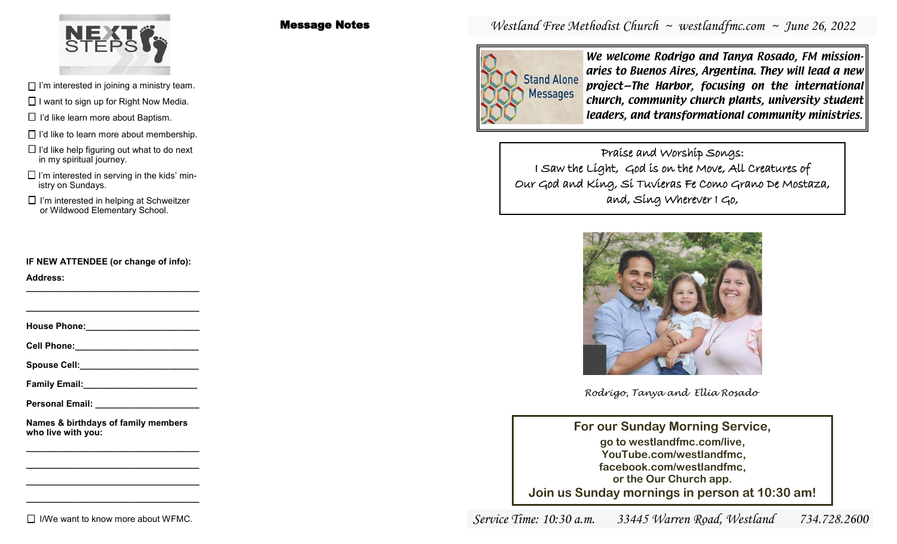

Message Notes

 $\Box$  I'm interested in joining a ministry team.

 $\Box$  I want to sign up for Right Now Media.

 $\Box$  I'd like learn more about Baptism.

 $\Box$  I'd like to learn more about membership.

 $\Box$  I'd like help figuring out what to do next in my spiritual journey.

 $\Box$  I'm interested in serving in the kids' ministry on Sundays.

or Wildwood Elementary School.

**IF NEW ATTENDEE (or change of info):**

**Address: \_\_\_\_\_\_\_\_\_\_\_\_\_\_\_\_\_\_\_\_\_\_\_\_\_\_\_\_\_\_\_\_\_\_\_**

**House Phone:** 

**\_\_\_\_\_\_\_\_\_\_\_\_\_\_\_\_\_\_\_\_\_\_\_\_\_\_\_\_\_\_\_\_\_\_\_**

**Cell Phone:\_\_\_\_\_\_\_\_\_\_\_\_\_\_\_\_\_\_\_\_\_\_\_\_\_**

Spouse Cell:

**Family Email:\_\_\_\_\_\_\_\_\_\_\_\_\_\_\_\_\_\_\_\_\_\_\_**

**Personal Email: \_\_\_\_\_\_\_\_\_\_\_\_\_\_\_\_\_\_\_\_\_**

**Names & birthdays of family members who live with you:**

**\_\_\_\_\_\_\_\_\_\_\_\_\_\_\_\_\_\_\_\_\_\_\_\_\_\_\_\_\_\_\_\_\_\_\_**

# *Westland Free Methodist Church ~ westlandfmc.com ~ June 26, 2022*



We welcome Rodrigo and Tanya Rosado, FM missionaries to Buenos Aires, Argentina. They will lead a new project—The Harbor, focusing on the international church, community church plants, university student leaders, and transformational community ministries.

Praise and Worship Songs: I Saw the Light, God is on the Move, All Creatures of Our God and King, Si Tuvieras Fe Como Grano De Mostaza,  $\Box$  I'm interested in helping at Schweitzer and, Sing Wherever I Go,



*Rodrigo, Tanya and Ellia Rosado*

**For our Sunday Morning Service, go to westlandfmc.com/live, YouTube.com/westlandfmc, facebook.com/westlandfmc, or the Our Church app. Join us Sunday mornings in person at 10:30 am!**

 $\Box$  I/We want to know more about WFMC.

**\_\_\_\_\_\_\_\_\_\_\_\_\_\_\_\_\_\_\_\_\_\_\_\_\_\_\_\_\_\_\_\_\_\_\_ \_\_\_\_\_\_\_\_\_\_\_\_\_\_\_\_\_\_\_\_\_\_\_\_\_\_\_\_\_\_\_\_\_\_\_ \_\_\_\_\_\_\_\_\_\_\_\_\_\_\_\_\_\_\_\_\_\_\_\_\_\_\_\_\_\_\_\_\_\_\_**

*Service Time: 10:30 a.m. 33445 Warren Road, Westland 734.728.2600*